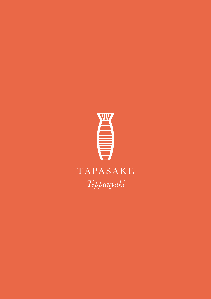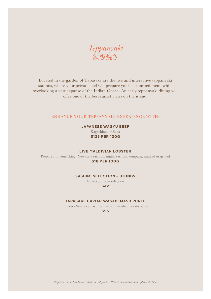*Teppanyaki* 鉄板焼き

Located in the garden of Tapasake are the live and interactive teppanyaki stations, where your private chef will prepare your customised menu while overlooking a vast expanse of the Indian Ocean. An early teppanyaki dining will offer one of the best sunset views on the island.

#### ENHANCE YOUR TEPPANYAKI EXPERIENCE WITH:

#### **JAPANESE WAGYU BEEF**

Kagoshima or Saga **\$125 PER 120G**

#### **LIVE MALDIVIAN LOBSTER**

Prepared to your liking: New style sashimi, nigiri, sashimi, tempura, sautéed or grilled **\$18 PER 100G**

#### **SASHIMI SELECTION** – **3 KINDS**

Make your own selection **\$42**

**TAPASAKE CAVIAR WASABI MASH PURÉE**

Oscietra Sturia caviar, fresh wasabi, mashed potato purée

**\$95**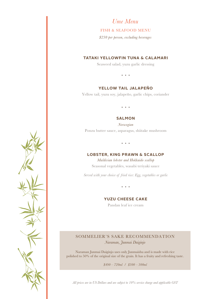*Ume Menu*

#### FISH & SEAFOOD MENU

*\$230 per person, excluding beverages*

#### **TATAKI YELLOWFIN TUNA & CALAMARI**

Seaweed salad, yuzu garlic dressing

# **YELLOW TAIL JALAPEÑO**

Yellow tail, yuzu soy, jalapeño, garlic chips, coriander

 $\bullet$   $\bullet$   $\bullet$ 

#### **SALMON**

*Norwegian* Ponzu butter sauce, asparagus, shiitake mushroom

 $\sim$   $\sim$ 

#### **LOBSTER, KING PRAWN & SCALLOP**

*Maldivian lobster and Hokkaido scallop* Seasonal vegetables, wasabi teriyaki sauce

*Served with your choice of fried rice: Egg, vegetables or garlic*

**YUZU CHEESE CAKE**

Pandan leaf ice cream

# SOMMELIER'S SAKE RECOMMENDATION *Naraman, Junmai Daiginjo*

Naraman Junmai Daiginjo uses only Junmaishu and is made with rice polished to 50% of the original size of the grain. It has a fruity and refreshing taste.

*\$490 – 720ml / \$300 – 300ml*

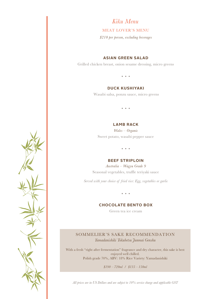*Kiku Menu*

#### MEAT LOVER'S MENU

*\$210 per person, excluding beverages*

#### **ASIAN GREEN SALAD**

Grilled chicken breast, onion sesame dressing, micro greens

#### **DUCK KUSHIYAKI**

Wasabi salsa, ponzu sauce, micro greens

#### **LAMB RACK**

*Wales* – *Organic* Sweet potato, wasabi pepper sauce

#### **BEEF STRIPLOIN**

*Australia* – *Wagyu Grade 9*  Seasonal vegetables, truffle teriyaki sauce

*Served with your choice of fried rice: Egg, vegetables or garlic*

# **CHOCOLATE BENTO BOX**

Green tea ice cream

# SOMMELIER'S SAKE RECOMMENDATION

*Yamadanishiki Tokubetsu Junmai Genshu* 

With a fresh "right after fermentation" fragrance and dry character, this sake is best enjoyed well chilled. Polish grade 70%, ABV: 18% Rice Variety: Yamadanishiki

*\$190 – 720ml / \$135 – 150ml*

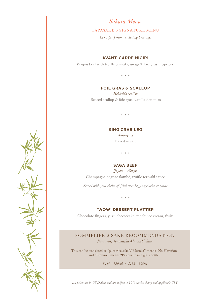# *Sakura Menu*

#### TAPASAKE'S SIGNATURE MENU

*\$275 per person, excluding beverages*

#### **AVANT-GARDE NIGIRI**

Wagyu beef with truffle teriyaki, unagi & foie gras, negi-toro

#### **FOIE GRAS & SCALLOP**

*Hokkaido scallop* Seared scallop & foie gras, vanilla den miso

#### **KING CRAB LEG**

*Norwegian* Baked in salt

# **SAGA BEEF**

*Japan* – *Wagyu* Champagne cognac flambé, truffle teriyaki sauce

*Served with your choice of fried rice: Egg, vegetables or garlic*

#### **'WOW' DESSERT PLATTER**

Chocolate fingers, yuzu cheesecake, mochi ice cream, fruits

# SOMMELIER'S SAKE RECOMMENDATION

*Naraman, Junmaishu Murokabinhiire*

This can be translated as "pure rice sake","Muroka" means "No Filtration" and "Binhiire" means "Pasteurise in a glass bottle".

*\$444 – 720 ml / \$188 – 300ml*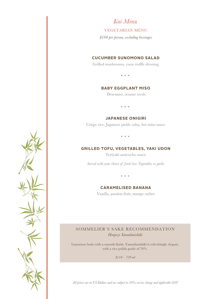*Kai Menu*

#### VEGETARIAN MENU

*\$160 per person, excluding beverages*

## **CUCUMBER SUNOMONO SALAD**

Grilled mushrooms, yuzu truffle dressing

 $\sim$   $\sim$   $\sim$ 

#### **BABY EGGPLANT MISO**

Den-miso, sesame seeds

#### **JAPANESE ONIGIRI**

Crispy rice, Japanese pickle salsa, hot miso sauce

 $\sim$   $\sim$   $\sim$ 

#### **GRILLED TOFU, VEGETABLES, YAKI UDON**

Teriyaki anticucho sauce

*Served with your choice of fried rice: Vegetables or garlic*

#### **CARAMELISED BANANA**

Vanilla, passion fruit, mango sorbet

# SOMMELIER'S SAKE RECOMMENDATION *Honjozo Yamadanishiki*

Luxurious body with a smooth finish, Yamadanishiki is refreshingly elegant, with a rice polish grade of 70%.

*\$110 – 720 ml*